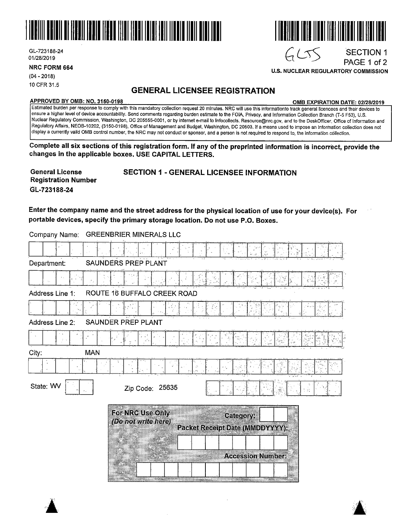

GL-723188-24 01/28/2019

**NRC FORM 664** 

 $\blacktriangle$ 

(04- 2018) 10 CFR 31.5

## **GENERAL LICENSEE REGISTRATION**

#### **APPROVED BY 0MB: NO. 3150-0198 0MB EXPIRATION DATE: 02/28/2019**

Estimated burden per response to comply with this mandatory collection request 20 minutes. NRG will use this informationto track general licencees and their devices to ensure a higher level of device accountability. Send comments regarding burden estimate to the FOIA, Privacy, and Information Collection Branch (T-5 F53), U.S. Nuclear Regulatory Commission, Washington, DC 205555-0001, or by internet e-mail to lnfocollects. Resource@nrc.gov, and to the DeskOfficer, Office of Information and Regulatory Affairs, NEOB-10202, (3150-0198), Office of Management and Budget, Washington, DC 20503. If a means used to impose an information collection does not display a currently valid 0MB control number, the NRG may not conduct or sponsor, and a person is not required to respond to, the information collection.

**Complete all six sections of this registration form. If any of the preprinted information is incorrect, provide the changes in the applicable boxes. USE CAPITAL LETTERS.** 

| <b>General License</b>     | <b>SECTION 1 - GENERAL LICENSEE INFORMATION</b> |
|----------------------------|-------------------------------------------------|
| <b>Registration Number</b> |                                                 |
| GL-723188-24               |                                                 |

**Enter the company name and the street address for the physical location of use for your device(s). For portable devices, specify the primary storage location. Do not use P.O. Boxes.** 

Company Name: GREENBRIER MINERALS LLC

| Department:         | SAUNDERS PREP PLANT                     |                                                     |                          |   |  |
|---------------------|-----------------------------------------|-----------------------------------------------------|--------------------------|---|--|
|                     |                                         |                                                     |                          |   |  |
| Address Line 1:     | ROUTE 16 BUFFALO CREEK ROAD             |                                                     |                          |   |  |
|                     |                                         |                                                     |                          | 砂 |  |
| Address Line 2:     | SAUNDER PREP PLANT                      |                                                     |                          |   |  |
|                     |                                         |                                                     |                          |   |  |
| City:<br><b>MAN</b> |                                         |                                                     |                          |   |  |
|                     |                                         |                                                     |                          |   |  |
| State: WV           | Zip Code: 25635                         |                                                     |                          |   |  |
|                     | For NRC Use Only<br>(Do not write here) | Category:<br><b>Packet Receipt Date (MMDDYYYY):</b> |                          |   |  |
|                     |                                         |                                                     | <b>Accession Number:</b> |   |  |





**U.S. NUCLEAR REGULARTORY COMMISSION** 

 $GCS$ 

.SECTION 1 PAGE 1 of 2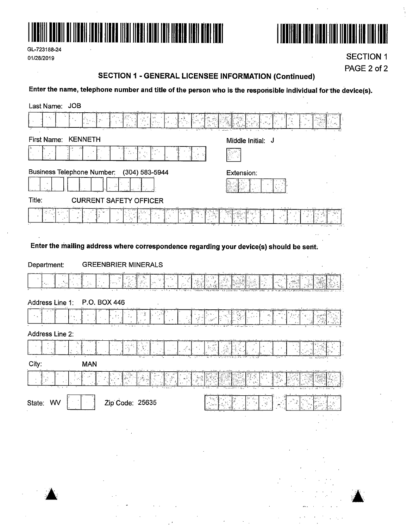

GL-723188-24 01/28/2019



**SECTION 1** PAGE 2 of 2

#### **SECTION 1 - GENERAL LICENSEE INFORMATION (Continued)**

Enter the name, telephone number and title of the person who is the responsible individual for the device(s).

| Last Name: JOB                                                                                                                                                                                                                                                                                                                                              |                                                                                     |
|-------------------------------------------------------------------------------------------------------------------------------------------------------------------------------------------------------------------------------------------------------------------------------------------------------------------------------------------------------------|-------------------------------------------------------------------------------------|
| $\theta_{\rm{c}}$<br>35                                                                                                                                                                                                                                                                                                                                     |                                                                                     |
| First Name: KENNETH                                                                                                                                                                                                                                                                                                                                         | Middle Initial: J                                                                   |
|                                                                                                                                                                                                                                                                                                                                                             |                                                                                     |
| <b>Business Telephone Number:</b><br>(304) 583-5944                                                                                                                                                                                                                                                                                                         | Extension:                                                                          |
| Title:<br><b>CURRENT SAFETY OFFICER</b>                                                                                                                                                                                                                                                                                                                     |                                                                                     |
|                                                                                                                                                                                                                                                                                                                                                             |                                                                                     |
|                                                                                                                                                                                                                                                                                                                                                             |                                                                                     |
| Enter the mailing address where correspondence regarding your device(s) should be sent.                                                                                                                                                                                                                                                                     |                                                                                     |
| Department:<br><b>GREENBRIER MINERALS</b>                                                                                                                                                                                                                                                                                                                   |                                                                                     |
|                                                                                                                                                                                                                                                                                                                                                             |                                                                                     |
| Address Line 1:<br>P.O. BOX 446                                                                                                                                                                                                                                                                                                                             |                                                                                     |
|                                                                                                                                                                                                                                                                                                                                                             |                                                                                     |
| Address Line 2:                                                                                                                                                                                                                                                                                                                                             |                                                                                     |
| فليبد                                                                                                                                                                                                                                                                                                                                                       |                                                                                     |
| City:<br><b>MAN</b>                                                                                                                                                                                                                                                                                                                                         |                                                                                     |
|                                                                                                                                                                                                                                                                                                                                                             |                                                                                     |
| <b>Fall</b><br>State: WV<br>Zip Code: 25635                                                                                                                                                                                                                                                                                                                 | 색<br>l via<br>$\mathcal{R}^{\mathcal{C}}_{\mathcal{C}}$                             |
| $\frac{1}{2} \sum_{i=1}^n \frac{1}{2} \sum_{j=1}^n \frac{1}{2} \sum_{j=1}^n \frac{1}{2} \sum_{j=1}^n \frac{1}{2} \sum_{j=1}^n \frac{1}{2} \sum_{j=1}^n \frac{1}{2} \sum_{j=1}^n \frac{1}{2} \sum_{j=1}^n \frac{1}{2} \sum_{j=1}^n \frac{1}{2} \sum_{j=1}^n \frac{1}{2} \sum_{j=1}^n \frac{1}{2} \sum_{j=1}^n \frac{1}{2} \sum_{j=1}^n \frac{1}{2} \sum_{j=$ |                                                                                     |
|                                                                                                                                                                                                                                                                                                                                                             | $\mathcal{L}^{\text{max}}_{\text{max}}$ and $\mathcal{L}^{\text{max}}_{\text{max}}$ |
|                                                                                                                                                                                                                                                                                                                                                             |                                                                                     |



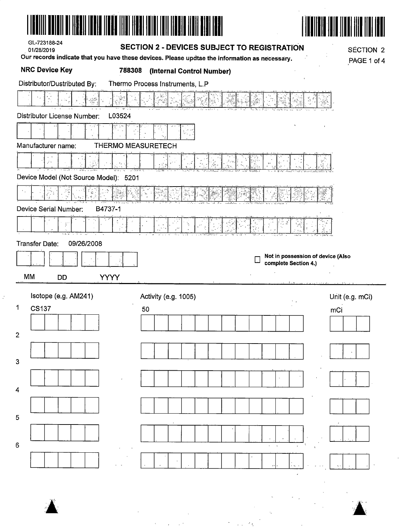| GL-723188-24<br>01/28/2019                      | <b>SECTION 2 - DEVICES SUBJECT TO REGISTRATION</b><br>Our records indicate that you have these devices. Please updtae the information as necessary. | <b>SÉCTION 2</b><br>PAGE 1 of 4   |
|-------------------------------------------------|-----------------------------------------------------------------------------------------------------------------------------------------------------|-----------------------------------|
| <b>NRC Device Key</b><br>788308                 | (Internal Control Number)                                                                                                                           |                                   |
| Distributor/Dustributed By:                     | Thermo Process Instruments, L.P                                                                                                                     |                                   |
|                                                 |                                                                                                                                                     |                                   |
| Distributor License Number:<br>L03524           |                                                                                                                                                     |                                   |
|                                                 |                                                                                                                                                     |                                   |
| Manufacturer name:<br><b>THERMO MEASURETECH</b> |                                                                                                                                                     |                                   |
| ه تو                                            |                                                                                                                                                     |                                   |
| Device Model (Not Source Model): 5201           |                                                                                                                                                     |                                   |
|                                                 |                                                                                                                                                     |                                   |
| Device Serial Number:<br>B4737-1                |                                                                                                                                                     |                                   |
| Y                                               |                                                                                                                                                     |                                   |
| <b>Transfer Date:</b><br>09/26/2008             |                                                                                                                                                     |                                   |
|                                                 | complete Section 4.)                                                                                                                                | Not in possession of device (Also |
| <b>MM</b><br><b>YYYY</b><br><b>DD</b>           |                                                                                                                                                     |                                   |
| Isotope (e.g. AM241)                            | Activity (e.g. 1005)                                                                                                                                | Unit (e.g. mCi)                   |
| $\mathbf{1}$<br>CS137                           | $\mathcal{P}=\mathcal{P}$<br>50                                                                                                                     | mCi                               |
|                                                 |                                                                                                                                                     |                                   |
| $\overline{2}$                                  |                                                                                                                                                     |                                   |
| 3                                               |                                                                                                                                                     |                                   |
|                                                 | $\tilde{\mathbf{x}}$                                                                                                                                |                                   |
| 4                                               |                                                                                                                                                     |                                   |
| 5                                               |                                                                                                                                                     |                                   |
|                                                 |                                                                                                                                                     |                                   |
| 6                                               |                                                                                                                                                     |                                   |
|                                                 | $\mathbf{G}_k$                                                                                                                                      |                                   |



 $\mathcal{L}(\mathcal{A})$  .  $\mathcal{A}=\mathcal{A}$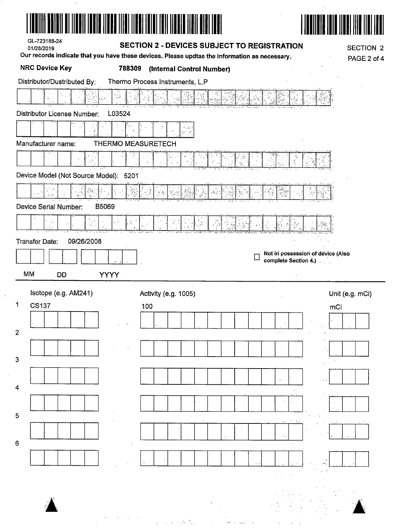|                                       |                   | Our records indicate that you have these devices. Please updtae the information as necessary. |                      | PAGE 2 of 4                       |
|---------------------------------------|-------------------|-----------------------------------------------------------------------------------------------|----------------------|-----------------------------------|
| <b>NRC Device Key</b>                 | 788309            | (Internal Control Number)                                                                     |                      |                                   |
| Distributor/Dustributed By:           |                   | Thermo Process Instruments, L.P                                                               |                      |                                   |
| Ъv.                                   | inter e<br>Lingvi |                                                                                               |                      |                                   |
| <b>Distributor License Number:</b>    | L03524            |                                                                                               |                      |                                   |
|                                       |                   | r i 9<br>سمي وية                                                                              |                      |                                   |
| Manufacturer name:                    |                   | <b>THERMO MEASURETECH</b>                                                                     |                      |                                   |
|                                       |                   |                                                                                               |                      |                                   |
| Device Model (Not Source Model): 5201 |                   |                                                                                               |                      |                                   |
| 筏                                     |                   |                                                                                               |                      |                                   |
| Device Serial Number:<br>B5069        |                   |                                                                                               |                      |                                   |
|                                       |                   |                                                                                               |                      |                                   |
| 09/26/2008<br>Transfer Date:          |                   |                                                                                               |                      |                                   |
|                                       |                   |                                                                                               |                      |                                   |
|                                       |                   |                                                                                               |                      |                                   |
|                                       |                   |                                                                                               | complete Section 4.) | Not in possession of device (Also |
| MM<br><b>DD</b>                       | <b>YYYY</b>       |                                                                                               |                      |                                   |
| Isotope (e.g. AM241)                  |                   | Activity (e.g. 1005)                                                                          |                      | Unit (e.g. mCi)                   |
| <b>CS137</b>                          |                   | 100                                                                                           |                      | mCi                               |
| 1                                     |                   |                                                                                               |                      |                                   |
|                                       |                   |                                                                                               |                      |                                   |
|                                       |                   |                                                                                               |                      |                                   |
| $\overline{2}$<br>$\mathbf{3}$        |                   |                                                                                               |                      |                                   |
|                                       |                   |                                                                                               |                      |                                   |
|                                       |                   |                                                                                               |                      |                                   |
| $\overline{4}$<br>$\overline{5}$      |                   |                                                                                               |                      |                                   |
|                                       |                   |                                                                                               |                      |                                   |
| 6                                     |                   |                                                                                               |                      |                                   |
|                                       |                   |                                                                                               |                      |                                   |

 $\overline{\phantom{a}}$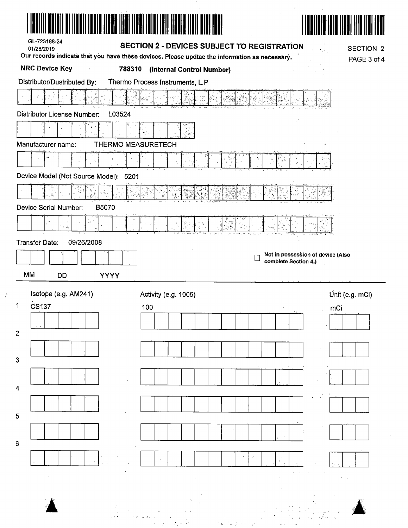| GL-723188-24<br>01/28/2019            | <b>SECTION 2 - DEVICES SUBJECT TO REGISTRATION</b>                                                                         | <b>SECTION 2</b> |
|---------------------------------------|----------------------------------------------------------------------------------------------------------------------------|------------------|
| <b>NRC Device Key</b><br>788310       | Our records indicate that you have these devices. Please updtae the information as necessary.<br>(Internal Control Number) | PAGE 3 of 4      |
| Distributor/Dustributed By:           | Thermo Process Instruments, L.P                                                                                            |                  |
|                                       |                                                                                                                            |                  |
| Distributor License Number:<br>L03524 |                                                                                                                            |                  |
|                                       | T.                                                                                                                         |                  |
| Manufacturer name:                    | <b>THERMO MEASURETECH</b>                                                                                                  |                  |
| $\gamma\phi=\gamma^*$                 |                                                                                                                            |                  |
| Device Model (Not Source Model): 5201 |                                                                                                                            |                  |
|                                       | ś,                                                                                                                         |                  |
| B5070<br>Device Serial Number:        |                                                                                                                            |                  |
| न में<br>पर्य<br>$\mathcal{A}_2$      |                                                                                                                            |                  |
| 09/26/2008<br>Transfer Date:          |                                                                                                                            |                  |
|                                       | Not in possession of device (Also<br>complete Section 4.)                                                                  |                  |
| <b>MM</b><br><b>YYYY</b><br><b>DD</b> |                                                                                                                            |                  |
|                                       |                                                                                                                            |                  |
| Isotope (e.g. AM241)                  | Activity (e.g. 1005)                                                                                                       |                  |
| $\mathbf 1$<br><b>CS137</b>           | Unit (e.g. mCi)<br>100<br>mCi                                                                                              |                  |
|                                       |                                                                                                                            |                  |
| $\overline{\mathbf{c}}$               |                                                                                                                            |                  |
| 3                                     |                                                                                                                            |                  |
|                                       |                                                                                                                            |                  |
| 4                                     |                                                                                                                            |                  |
|                                       |                                                                                                                            |                  |
| 5                                     |                                                                                                                            |                  |
|                                       |                                                                                                                            |                  |
| 6                                     |                                                                                                                            |                  |
|                                       |                                                                                                                            |                  |
|                                       |                                                                                                                            |                  |
|                                       |                                                                                                                            |                  |

 $\frac{1}{\sqrt{2}}$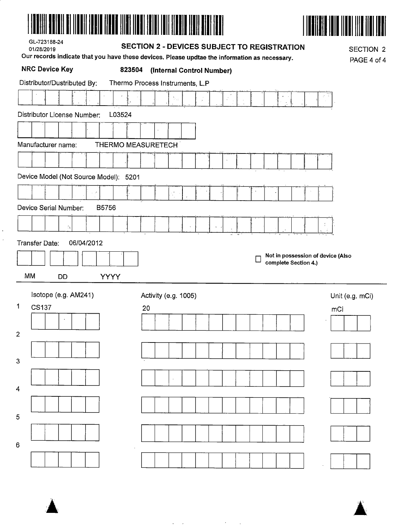|--|--|--|--|



| GL-723188-24 |  |
|--------------|--|
| 01/28/2019   |  |

 $\ddot{\phantom{0}}$  $\bar{\bar{z}}$ 

### **SECTION 2 - DEVICES SUBJECT TO REGISTRATION**

Our records indicate that you have these devices. Please undtae the information as necessary

**SECTION 2**  $P = 4 of 4$ 

| <b>NRC Device Key</b><br>823504          | serve malbale that you have these devices. I lease updite the implification as helessary.<br>(Internal Control Number) | PAGE 4 of       |
|------------------------------------------|------------------------------------------------------------------------------------------------------------------------|-----------------|
| Distributor/Dustributed By:              | Thermo Process Instruments, L.P                                                                                        |                 |
|                                          | $\mathbb{S}_{\mathbb{Z}_{\geq 0}}$                                                                                     |                 |
| Distributor License Number:<br>L03524    |                                                                                                                        |                 |
|                                          |                                                                                                                        |                 |
| Manufacturer name:<br>THERMO MEASURETECH |                                                                                                                        |                 |
|                                          |                                                                                                                        |                 |
| Device Model (Not Source Model): 5201    |                                                                                                                        |                 |
|                                          |                                                                                                                        |                 |
| o P<br>Device Serial Number:             | $\frac{1}{2}$                                                                                                          |                 |
| B5756                                    |                                                                                                                        |                 |
| $\mathbb{I}_4$                           | $\mathbf{G}$                                                                                                           |                 |
| Transfer Date:<br>06/04/2012             |                                                                                                                        |                 |
|                                          | Not in possession of device (Also<br>complete Section 4.)                                                              |                 |
| MM<br><b>YYYY</b><br><b>DD</b>           |                                                                                                                        |                 |
| Isotope (e.g. AM241)                     | Activity (e.g. 1005)                                                                                                   | Unit (e.g. mCi) |
| 1<br><b>CS137</b>                        | 20                                                                                                                     | mCi             |
|                                          |                                                                                                                        |                 |
| $\overline{2}$                           |                                                                                                                        |                 |
|                                          |                                                                                                                        |                 |
| 3                                        |                                                                                                                        |                 |
|                                          |                                                                                                                        |                 |
| 4                                        |                                                                                                                        |                 |
| 5                                        |                                                                                                                        |                 |
|                                          |                                                                                                                        |                 |
| 6                                        |                                                                                                                        |                 |
|                                          |                                                                                                                        |                 |

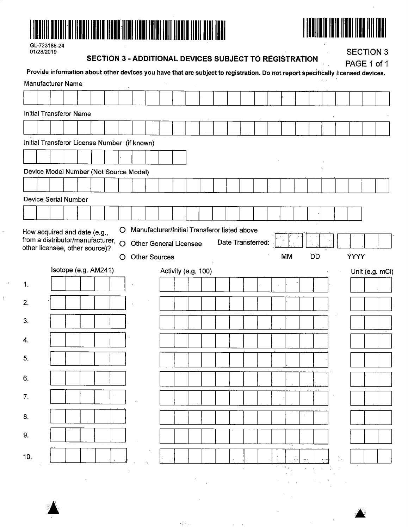



| GL-723188-24 |
|--------------|
| 01/28/2019   |

 $\ddot{\phantom{a}}$ 

#### **SECTION 3 - ADDITIONAL DEVICES SUBJECT TO REGISTRATION**

**SECTION 3** 

|                                              | Provide information about other devices you have that are subject to registration. Do not report specifically licensed devices. |  |   |                                              |  |                     |  |  |                   |    |           |  | PAGE 1 of 1 |                 |
|----------------------------------------------|---------------------------------------------------------------------------------------------------------------------------------|--|---|----------------------------------------------|--|---------------------|--|--|-------------------|----|-----------|--|-------------|-----------------|
| <b>Manufacturer Name</b>                     |                                                                                                                                 |  |   |                                              |  |                     |  |  |                   |    |           |  |             |                 |
|                                              |                                                                                                                                 |  |   |                                              |  |                     |  |  |                   |    |           |  |             |                 |
| <b>Initial Transferor Name</b>               |                                                                                                                                 |  |   |                                              |  |                     |  |  |                   |    |           |  |             |                 |
|                                              |                                                                                                                                 |  |   |                                              |  |                     |  |  |                   |    |           |  |             |                 |
| Initial Transferor License Number (if known) |                                                                                                                                 |  |   |                                              |  |                     |  |  |                   |    |           |  |             |                 |
|                                              |                                                                                                                                 |  |   |                                              |  |                     |  |  |                   |    |           |  |             |                 |
| Device Model Number (Not Source Model)       |                                                                                                                                 |  |   |                                              |  |                     |  |  |                   |    |           |  |             |                 |
|                                              |                                                                                                                                 |  |   |                                              |  |                     |  |  |                   |    |           |  |             |                 |
| Device Serial Number                         |                                                                                                                                 |  |   |                                              |  |                     |  |  |                   |    |           |  |             |                 |
|                                              |                                                                                                                                 |  |   |                                              |  |                     |  |  |                   |    |           |  |             |                 |
| How acquired and date (e.g.,                 |                                                                                                                                 |  | O | Manufacturer/Initial Transferor listed above |  |                     |  |  |                   |    |           |  |             |                 |
| from a distributor/manufacturer, O           |                                                                                                                                 |  |   | Other General Licensee                       |  |                     |  |  | Date Transferred: |    |           |  |             |                 |
| other licensee, other source)?               |                                                                                                                                 |  | O | <b>Other Sources</b>                         |  |                     |  |  |                   | MM | <b>DD</b> |  | <b>YYYY</b> |                 |
|                                              | Isotope (e.g. AM241)                                                                                                            |  |   |                                              |  | Activity (e.g. 100) |  |  |                   |    |           |  |             | Unit (e.g. mCi) |
| 1.                                           |                                                                                                                                 |  |   |                                              |  |                     |  |  |                   |    |           |  |             |                 |
| 2.                                           |                                                                                                                                 |  |   |                                              |  |                     |  |  |                   |    |           |  |             |                 |
|                                              |                                                                                                                                 |  |   |                                              |  |                     |  |  |                   |    |           |  |             |                 |
| 3.                                           |                                                                                                                                 |  |   |                                              |  |                     |  |  |                   |    |           |  |             |                 |
| 4.                                           |                                                                                                                                 |  |   |                                              |  |                     |  |  |                   |    |           |  |             |                 |
| 5.                                           |                                                                                                                                 |  |   |                                              |  |                     |  |  |                   |    |           |  |             |                 |
| 6.                                           |                                                                                                                                 |  |   |                                              |  |                     |  |  |                   |    |           |  |             |                 |
|                                              |                                                                                                                                 |  |   |                                              |  |                     |  |  |                   |    |           |  |             |                 |
| 7.                                           |                                                                                                                                 |  |   |                                              |  |                     |  |  |                   |    |           |  |             |                 |
| 8.                                           |                                                                                                                                 |  |   |                                              |  |                     |  |  |                   |    |           |  |             |                 |
| 9.                                           |                                                                                                                                 |  |   |                                              |  |                     |  |  |                   |    |           |  |             |                 |
|                                              |                                                                                                                                 |  |   |                                              |  |                     |  |  |                   |    |           |  |             |                 |
| 10.                                          |                                                                                                                                 |  |   |                                              |  |                     |  |  |                   |    |           |  |             |                 |
|                                              |                                                                                                                                 |  |   |                                              |  |                     |  |  |                   |    |           |  |             |                 |

 $\mathcal{L}_{\text{c}} \leftarrow \mathcal{L}_{\text{c}}$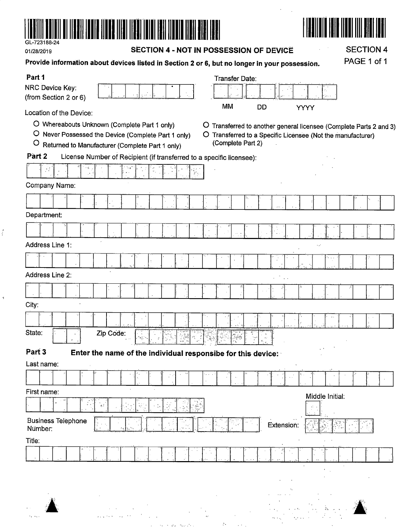

 $\epsilon_{\rm{max}}$ 

 $\hat{\zeta}$ 

 $\ddot{\psi}$ 

| 01/28/2019                               |                                                                                                                                                        | SECTION 4 - NOT IN POSSESSION OF DEVICE                                                                                                                | <b>SECTION 4</b> |
|------------------------------------------|--------------------------------------------------------------------------------------------------------------------------------------------------------|--------------------------------------------------------------------------------------------------------------------------------------------------------|------------------|
|                                          | Provide information about devices listed in Section 2 or 6, but no longer in your possession.                                                          |                                                                                                                                                        | PAGE 1 of 1      |
| Part 1                                   |                                                                                                                                                        | Transfer Date:                                                                                                                                         |                  |
| NRC Device Key:<br>(from Section 2 or 6) |                                                                                                                                                        |                                                                                                                                                        |                  |
| Location of the Device:                  |                                                                                                                                                        | MM<br><b>DD</b>                                                                                                                                        | <b>YYYY</b>      |
| $\bigcirc$                               | O Whereabouts Unknown (Complete Part 1 only)<br>O Never Possessed the Device (Complete Part 1 only)<br>Returned to Manufacturer (Complete Part 1 only) | O Transferred to another general licensee (Complete Parts 2 and 3)<br>O Transferred to a Specific Licensee (Not the manufacturer)<br>(Complete Part 2) |                  |
| Part 2                                   | License Number of Recipient (if transferred to a specific licensee):                                                                                   |                                                                                                                                                        |                  |
| په د                                     |                                                                                                                                                        |                                                                                                                                                        |                  |
| Company Name:                            |                                                                                                                                                        |                                                                                                                                                        |                  |
|                                          |                                                                                                                                                        |                                                                                                                                                        |                  |
| Department:                              |                                                                                                                                                        |                                                                                                                                                        |                  |
|                                          |                                                                                                                                                        |                                                                                                                                                        |                  |
| Address Line 1:                          |                                                                                                                                                        |                                                                                                                                                        | уý.              |
|                                          |                                                                                                                                                        |                                                                                                                                                        |                  |
| Address Line 2:                          |                                                                                                                                                        |                                                                                                                                                        |                  |
|                                          |                                                                                                                                                        |                                                                                                                                                        |                  |
| City:                                    |                                                                                                                                                        |                                                                                                                                                        |                  |
|                                          |                                                                                                                                                        |                                                                                                                                                        |                  |
| State:                                   | Zip Code:<br>$\gamma_{\rm p}$<br>$\mathcal{G}^{\mathcal{G}}_{\mathcal{A}}$                                                                             | 7. july<br>$\theta_{\rm c}$ .                                                                                                                          |                  |
| Part 3                                   | Enter the name of the individual responsibe for this device:                                                                                           |                                                                                                                                                        |                  |
| Last name:                               |                                                                                                                                                        |                                                                                                                                                        |                  |
|                                          |                                                                                                                                                        |                                                                                                                                                        |                  |
| First name:                              |                                                                                                                                                        |                                                                                                                                                        | Middle Initial:  |
|                                          | 23                                                                                                                                                     |                                                                                                                                                        |                  |
| <b>Business Telephone</b><br>Nümber:     |                                                                                                                                                        | Extension:                                                                                                                                             |                  |
| Title:                                   |                                                                                                                                                        |                                                                                                                                                        |                  |
|                                          |                                                                                                                                                        |                                                                                                                                                        |                  |
|                                          |                                                                                                                                                        |                                                                                                                                                        |                  |
|                                          |                                                                                                                                                        |                                                                                                                                                        |                  |
|                                          |                                                                                                                                                        |                                                                                                                                                        |                  |
|                                          |                                                                                                                                                        |                                                                                                                                                        |                  |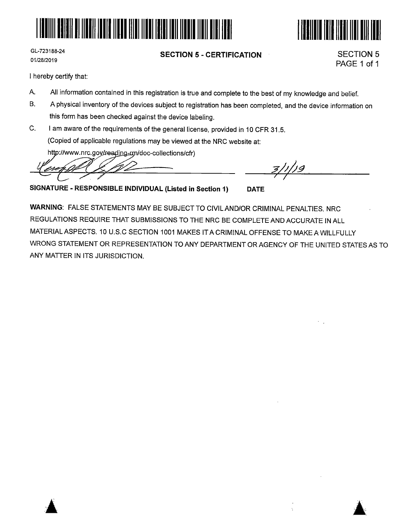



GL-723188-24 01/28/2019

#### **SECTION 5** - **CERTIFICATION**

SECTION 5 PAGE 1 of 1

I hereby certify that:

- A. All information contained in this registration is true and complete to the best of my knowledge and belief.
- B. A physical inventory of the devices subject to registration has been completed, and the device information on this form has been checked against the device labeling.
- C. I am aware of the requirements of the general license, provided in 10 CFR 31.5. (Copied of applicable regulations may be viewed at the NRC website at:

http://www.nrc.gov/reading-rm/doc-collections/cfr)

*l~ ?l;/;\_g* 

**SIGNATURE** - **RESPONSIBLE INDIVIDUAL (Listed in Section 1) DATE** 

**WARNING:** FALSE STATEMENTS MAY BE SUBJECT TO CIVILAND/OR CRIMINAL PENALTIES. NRC REGULATIONS REQUIRE THAT SUBMISSIONS TO THE NRC BE COMPLETE AND ACCURATE IN ALL MATERIAL ASPECTS. 10 U.S.C SECTION 1001 MAKES IT A CRIMINAL OFFENSE TO MAKEAWILLFULLY WRONG STATEMENT OR REPRESENTATION TO ANY DEPARTMENT OR AGENCY OF THE UNITED STATES AS TO ANY MATTER IN ITS JURISDICTION.